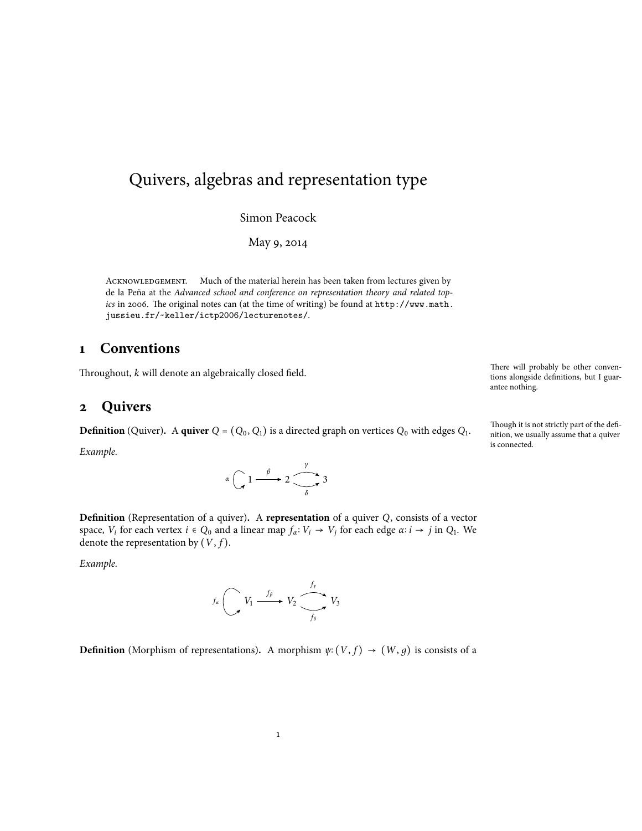# Quivers, algebras and representation type

Simon Peacock

May 9, 2014

ACKNOWLEDGEMENT. Much of the material herein has been taken from lectures given by de la Peña at the *Advanced school and conference on representation theory and related topics* in 2006. The original notes can (at the time of writing) be found at http://www.math. jussieu.fr/~keller/ictp2006/lecturenotes/.

### **1 Conventions**

Throughout, *k* will denote an algebraically closed field.

### **2 Quivers**

**Definition** (Quiver). A **quiver**  $Q = (Q_0, Q_1)$  is a directed graph on vertices  $Q_0$  with edges  $Q_1$ . *Example.*

 $\alpha$   $\bigcap$   $1 \xrightarrow{\beta} 2 \xrightarrow{\gamma} 3$ *δ*

**Definition** (Representation of a quiver)**.** A **representation** of a quiver *Q*, consists of a vector space,  $V_i$  for each vertex  $i \in Q_0$  and a linear map  $f_\alpha: V_i \to V_j$  for each edge  $\alpha: i \to j$  in  $Q_1$ . We denote the connecentation by  $(V, f)$ denote the representation by  $(V, f)$ .

*Example.*



**Definition** (Morphism of representations). A morphism  $\psi$ <sup>2</sup> (*V*, *f*)  $\rightarrow$  (*W*, *g*) is consists of a

There will probably be other conventions alongside definitions, but I guarantee nothing.

Though it is not strictly part of the definition, we usually assume that a quiver is connected.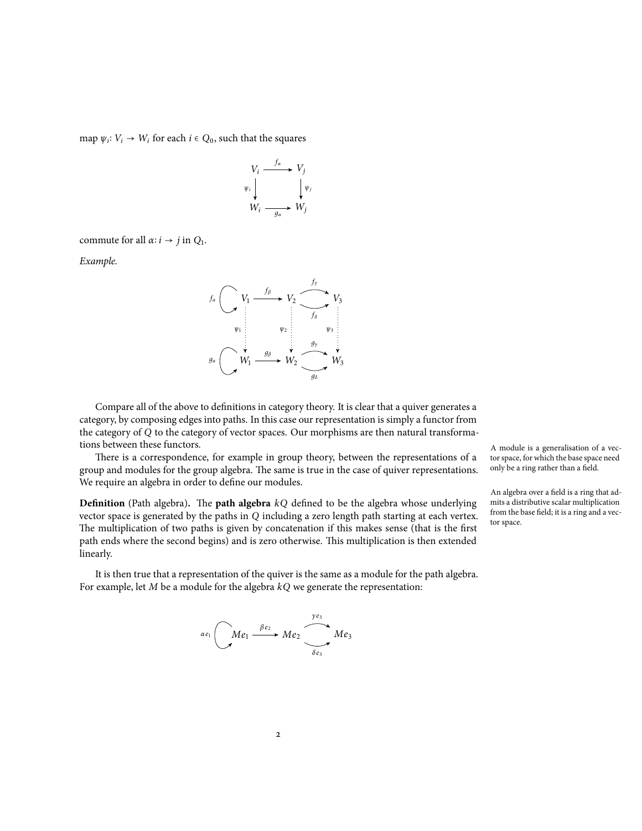map  $\psi_i: V_i \to W_i$  for each  $i \in Q_0$ , such that the squares

$$
V_i \xrightarrow{f_{\alpha}} V_j
$$
  
\n
$$
\psi_i \downarrow \qquad \qquad \downarrow \psi_j
$$
  
\n
$$
W_i \xrightarrow{g_{\alpha}} W_j
$$

commute for all  $\alpha$ :  $i \rightarrow j$  in  $Q_1$ .

*Example.*

$$
f_{\alpha} \left( \begin{array}{ccc} V_1 & \xrightarrow{f_{\beta}} & V_2 & \xrightarrow{f_y} & V_3 \\ \downarrow & & & & \\ \hline \psi_1 & & & & \\ \vdots & & & & \\ \hline \psi_2 & & & & \\ \hline \psi_3 & & & & \\ \hline \psi_4 & & & & \\ \hline \psi_5 & & & & \\ \hline \psi_6 & & & & \\ \hline \psi_7 & & & & \\ \hline \psi_8 & & & & \\ \hline \psi_9 & & & & \\ \hline \psi_1 & & & & \\ \hline \psi_2 & & & & \\ \hline \psi_3 & & & & \\ \hline \psi_4 & & & & \\ \hline \psi_5 & & & & \\ \hline \psi_6 & & & & \\ \hline \psi_7 & & & & \\ \hline \psi_8 & & & & \\ \hline \psi_9 & & & & \\ \hline \psi_1 & & & & \\ \hline \psi_1 & & & & \\ \hline \psi_2 & & & & \\ \hline \psi_3 & & & & \\ \hline \psi_4 & & & & \\ \hline \psi_5 & & & & \\ \hline \psi_6 & & & & \\ \hline \psi_7 & & & & \\ \hline \psi_8 & & & & \\ \hline \psi_9 & & & & \\ \hline \psi_1 & & & & \\ \hline \psi_1 & & & & \\ \hline \psi_2 & & & & \\ \hline \psi_3 & & & & \\ \hline \psi_4 & & & & \\ \hline \psi_5 & & &
$$

Compare all of the above to definitions in category theory. It is clear that a quiver generates a category, by composing edges into paths. In this case our representation is simply a functor from the category of *Q* to the category of vector spaces. Our morphisms are then natural transformations between these functors.

There is a correspondence, for example in group theory, between the representations of a group and modules for the group algebra. The same is true in the case of quiver representations. We require an algebra in order to define our modules.

**Definition** (Path algebra)**.** The **path algebra** *kQ* defined to be the algebra whose underlying vector space is generated by the paths in *Q* including a zero length path starting at each vertex. The multiplication of two paths is given by concatenation if this makes sense (that is the first path ends where the second begins) and is zero otherwise. This multiplication is then extended linearly.

It is then true that a representation of the quiver is the same as a module for the path algebra. For example, let *M* be a module for the algebra *kQ* we generate the representation:



A module is a generalisation of a vector space, for which the base space need only be a ring rather than a field.

An algebra over a field is a ring that admits a distributive scalar multiplication from the base field; it is a ring and a vector space.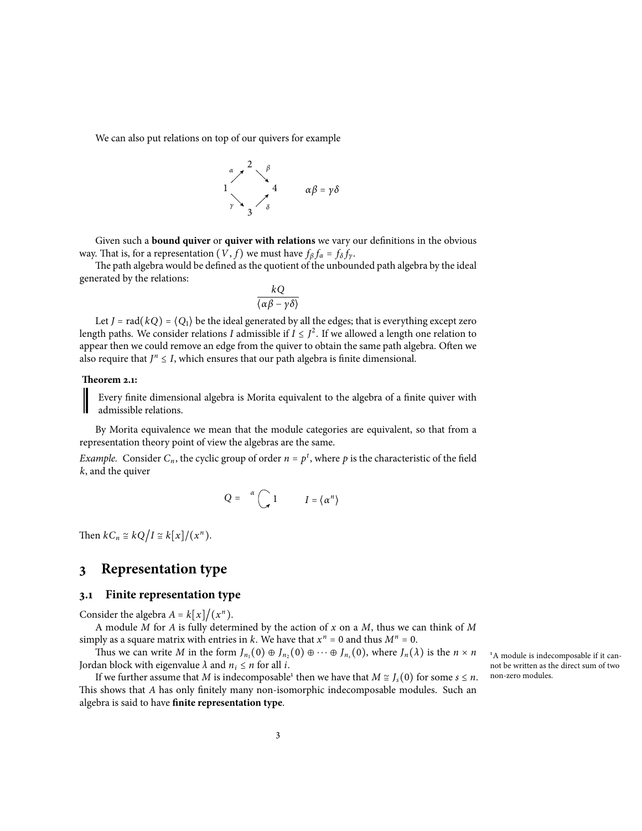We can also put relations on top of our quivers for example



Given such a **bound quiver** or **quiver with relations** we vary our definitions in the obvious way. That is, for a representation  $(V, f)$  we must have  $f_\beta f_\alpha = f_\delta f_\gamma$ .<br>The nath algebra visual haddfined as the quatient of the unbound

The path algebra would be defined as the quotient of the unbounded path algebra by the ideal generated by the relations:

$$
\frac{kQ}{\langle \alpha \beta - \gamma \delta \rangle}
$$

Let *J* = rad( $kQ$ ) =  $\langle Q_1 \rangle$  be the ideal generated by all the edges; that is everything except zero length paths. We consider relations *I* admissible if  $I \leq J^2$ . If we allowed a length one relation to engage than we can also from the average of the system of the system. appear then we could remove an edge from the quiver to obtain the same path algebra. Often we also require that  $J^n \leq I$ , which ensures that our path algebra is finite dimensional.

#### **Theorem 2.1:**

Every finite dimensional algebra is Morita equivalent to the algebra of a finite quiver with admissible relations.

By Morita equivalence we mean that the module categories are equivalent, so that from a representation theory point of view the algebras are the same.

*Example.* Consider  $C_n$ , the cyclic group of order  $n = p^t$ , where p is the characteristic of the field *k*, and the quiver

$$
Q = \alpha \bigcap_{n=1}^{\infty} 1 \qquad I = \langle \alpha^n \rangle
$$

Then  $kC_n \cong kQ/I \cong k[x]/(x^n)$ .

### **3 Representation type**

### **3.1 Finite representation type**

Consider the algebra  $A = k[x]/(x^n)$ .

A module *M* for *A* is fully determined by the action of *x* on a *M*, thus we can think of *M* simply as a square matrix with entries in *k*. We have that  $x^n = 0$  and thus  $M^n = 0$ .<br>Thus yes are virited *M* in the form *L* (0)  $\mathcal{R}_L$  (0)  $\mathcal{R}_L$  (0) where *L* (1)

Thus we can write *M* in the form  $J_{n_1}(0) \oplus J_{n_2}(0) \oplus \cdots \oplus J_{n_s}(0)$ , where  $J_n(\lambda)$  is the  $n \times n$ Jordan block with eigenvalue  $\lambda$  and  $n_i \leq n$  for all *i*.

If we further assume that *M* is indecomposable<sup>1</sup> then we have that  $M \cong J_s(0)$  for some  $s \leq n$ . This shows that *A* has only finitely many non-isomorphic indecomposable modules. Such an algebra is said to have **finite representation type**.

<sup>1</sup>A module is indecomposable if it cannot be written as the direct sum of two non-zero modules.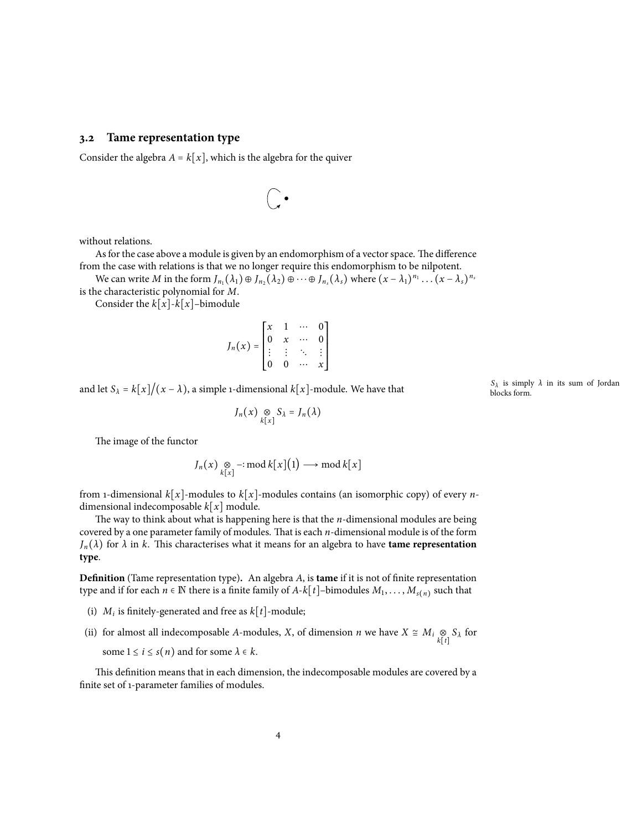### **3.2 Tame representation type**

Consider the algebra  $A = k[x]$ , which is the algebra for the quiver

$$
\bigcirc \cdot
$$

without relations.

Asfor the case above a module is given by an endomorphism of a vector space. The difference from the case with relations is that we no longer require this endomorphism to be nilpotent.

We can write M in the form  $J_{n_1}(\lambda_1) \oplus J_{n_2}(\lambda_2) \oplus \cdots \oplus J_{n_s}(\lambda_s)$  where  $(x - \lambda_1)^{n_1} \dots (x - \lambda_s)^{n_s}$ is the characteristic polynomial for *M*.

Consider the  $k[x]-k[x]$ –bimodule

$$
J_n(x) = \begin{bmatrix} x & 1 & \cdots & 0 \\ 0 & x & \cdots & 0 \\ \vdots & \vdots & \ddots & \vdots \\ 0 & 0 & \cdots & x \end{bmatrix}
$$

and let  $S_\lambda = k[x]/(x - \lambda)$ , a simple 1-dimensional  $k[x]$ -module. We have that

$$
J_n(x) \underset{k[x]}{\otimes} S_{\lambda} = J_n(\lambda)
$$

The image of the functor

$$
J_n(x) \underset{k[x]}{\otimes} -: \operatorname{mod} k[x](1) \longrightarrow \operatorname{mod} k[x]
$$

from 1-dimensional  $k[x]$ -modules to  $k[x]$ -modules contains (an isomorphic copy) of every *n*dimensional indecomposable *<sup>k</sup>*[*x*] module.

The way to think about what is happening here is that the *n*-dimensional modules are being covered by a one parameter family of modules. That is each *n*-dimensional module is of the form  $J_n(\lambda)$  for  $\lambda$  in  $k$ . This characterises what it means for an algebra to have **tame representation type**.

**Definition** (Tame representation type)**.** An algebra *A*, is **tame** if it is not of finite representation type and if for each  $n \in \mathbb{N}$  there is a finite family of  $A-k[t]$ –bimodules  $M_1, \ldots, M_{s(n)}$  such that

- (i)  $M_i$  is finitely-generated and free as  $k[t]$ -module;
- (ii) for almost all indecomposable *A*-modules, *X*, of dimension *n* we have  $X \cong M_i \underset{k[t]}{\otimes}$ *S<sup>λ</sup>* for some  $1 \le i \le s(n)$  and for some  $\lambda \in k$ .

This definition means that in each dimension, the indecomposable modules are covered by a finite set of 1-parameter families of modules.

*Sλ* is simply *λ* in its sum of Jordan blocks form.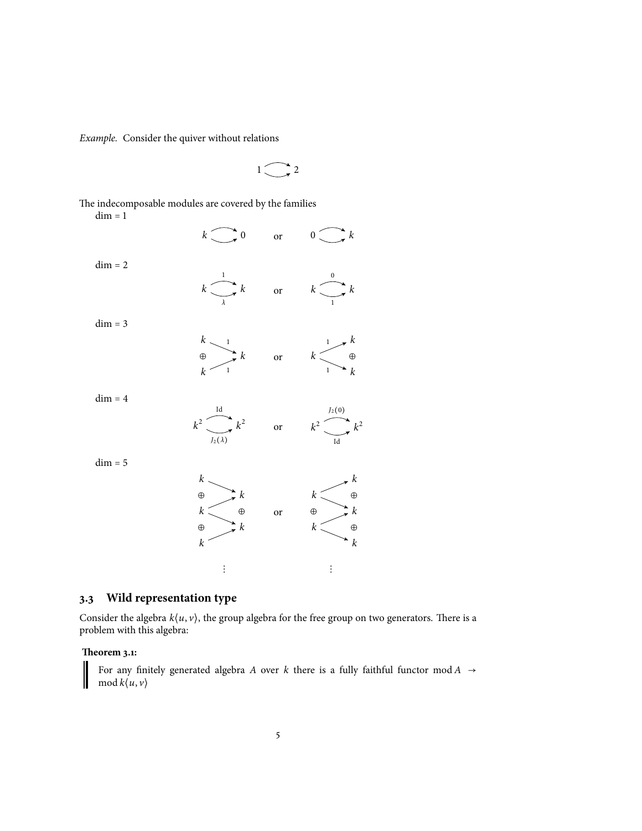*Example.* Consider the quiver without relations

$$
1\bigodot 2
$$

The indecomposable modules are covered by the families

 $dim = 1$ 

 $dim = 2$ 

$$
k \longrightarrow 0 \quad \text{or} \quad 0 \longrightarrow k
$$
\n
$$
k \longrightarrow k \quad \text{or} \quad k \longrightarrow k
$$
\n
$$
k \longrightarrow 1 \quad \text{or} \quad k \longrightarrow k
$$

 $dim = 3$ 

 $dim = 4$ 

 $dim = 5$ 

$$
\begin{array}{ccc}\nk & 1 & 1 \\
\oplus & k & \text{or} \\
k & 1 & k\n\end{array}
$$

$$
k^{2} \longrightarrow k^{2}
$$
 or 
$$
k^{2} \longrightarrow k^{2}
$$
  
\n
$$
\oplus
$$
 
$$
\oplus
$$
 
$$
\oplus
$$
 
$$
\oplus
$$
 
$$
\oplus
$$
 
$$
\oplus
$$
 
$$
\oplus
$$
 
$$
\oplus
$$
 
$$
\oplus
$$
 
$$
\oplus
$$
 
$$
\oplus
$$
 
$$
\oplus
$$
 
$$
\oplus
$$
 
$$
\oplus
$$
 
$$
\oplus
$$
 
$$
\oplus
$$
 
$$
\oplus
$$
 
$$
\oplus
$$
 
$$
\oplus
$$
 
$$
\oplus
$$
 
$$
\oplus
$$
 
$$
\oplus
$$
 
$$
\oplus
$$
 
$$
\oplus
$$
 
$$
\oplus
$$
 
$$
\oplus
$$
 
$$
\oplus
$$
 
$$
\oplus
$$
 
$$
\oplus
$$
 
$$
\oplus
$$
 
$$
\oplus
$$
 
$$
\oplus
$$
 
$$
\oplus
$$
 
$$
\oplus
$$
 
$$
\oplus
$$
 
$$
\oplus
$$
 
$$
\oplus
$$
 
$$
\oplus
$$
 
$$
\oplus
$$
 
$$
\oplus
$$
 
$$
\oplus
$$
 
$$
\oplus
$$
 
$$
\oplus
$$
 
$$
\oplus
$$
 
$$
\oplus
$$
 
$$
\oplus
$$
 
$$
\oplus
$$
 
$$
\oplus
$$
 
$$
\oplus
$$
 
$$
\oplus
$$
 
$$
\oplus
$$
 
$$
\oplus
$$
 
$$
\oplus
$$
 
$$
\oplus
$$
 
$$
\oplus
$$
 
$$
\oplus
$$
 
$$
\oplus
$$
 
$$
\oplus
$$
 
$$
\oplus
$$
 
$$
\oplus
$$
 
$$
\oplus
$$
 
$$
\oplus
$$
 
$$
\oplus
$$
 
$$
\oplus
$$
 
$$
\oplus
$$
 
$$
\oplus
$$

# **3.3 Wild representation type**

Consider the algebra  $k\langle u, v \rangle$ , the group algebra for the free group on two generators. There is a problem with this algebra:

 $\ddot{\textbf{i}}$ 

### **Theorem 3.1:**

I

For any finitely generated algebra *A* over *k* there is a fully faithful functor mod *A* → mod  $k\langle u, v \rangle$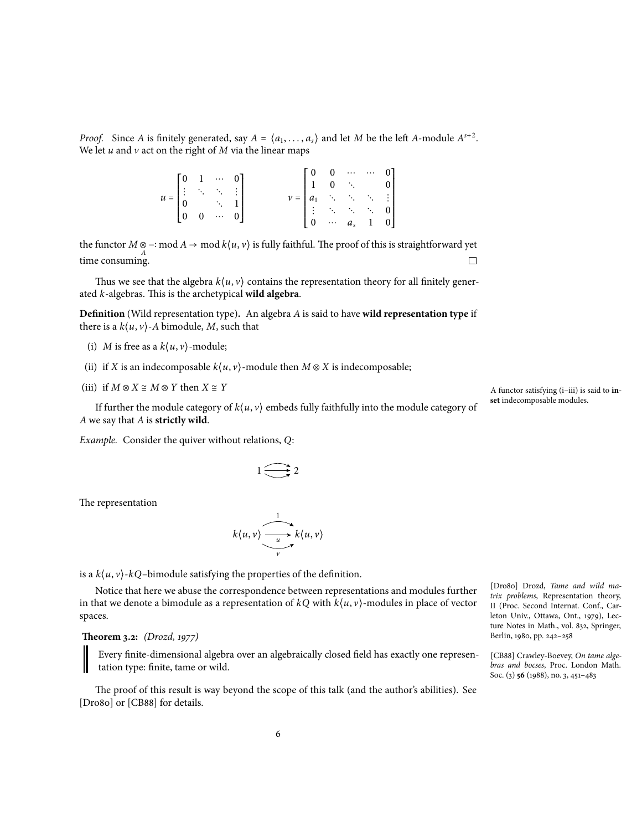*Proof.* Since *A* is finitely generated, say  $A = \langle a_1, \ldots, a_s \rangle$  and let *M* be the left *A*-module  $A^{s+2}$ . We let  $u$  and  $v$  act on the right of  $M$  via the linear maps

| $u = \begin{bmatrix} 0 & 1 & \cdots & 0 \\ \vdots & \ddots & \ddots & \vdots \\ 0 & & & 1 \\ 0 & 0 & \cdots & 0 \end{bmatrix}$ |  |  |  | $\nu = \begin{bmatrix} 0 & 0 & \cdots & \cdots & 0 \\ 1 & 0 & \ddots & & 0 \\ a_1 & \ddots & \ddots & \ddots & \vdots \\ \vdots & \ddots & \ddots & \ddots & 0 \\ 0 & \cdots & a_s & 1 & 0 \end{bmatrix}$ |  |  |
|--------------------------------------------------------------------------------------------------------------------------------|--|--|--|-----------------------------------------------------------------------------------------------------------------------------------------------------------------------------------------------------------|--|--|
|                                                                                                                                |  |  |  |                                                                                                                                                                                                           |  |  |

the functor  $M \otimes -$ : mod  $A \to \text{mod } k\langle u, v \rangle$  is fully faithful. The proof of this is straightforward yet time consuming.

Thus we see that the algebra  $k\langle u, v \rangle$  contains the representation theory for all finitely generated *k*-algebras. This is the archetypical **wild algebra**.

**Definition** (Wild representation type)**.** An algebra *A* is said to have **wild representation type** if there is a  $k\langle u, v \rangle$ -*A* bimodule, *M*, such that

- (i) *M* is free as a  $k\langle u, v \rangle$ -module;
- (ii) if *X* is an indecomposable  $k\langle u, v \rangle$ -module then  $M \otimes X$  is indecomposable;
- (iii) if  $M \otimes X \cong M \otimes Y$  then  $X \cong Y$

If further the module category of  $k\langle u, v \rangle$  embeds fully faithfully into the module category of *A* we say that *A* is **strictly wild**.

*Example.* Consider the quiver without relations, *Q*:

 $1 \bigoplus 2$ 

The representation

$$
k\langle u,v\rangle \xrightarrow[v]{\longrightarrow \atop v} k\langle u,v\rangle
$$

is a  $k\langle u, v \rangle$ - $kQ$ -bimodule satisfying the properties of the definition.

Notice that here we abuse the correspondence between representations and modules further in that we denote a bimodule as a representation of  $kQ$  with  $k\langle u, v \rangle$ -modules in place of vector spaces.

#### **Theorem 3.2:** *(Drozd, 1977)*

Every finite-dimensional algebra over an algebraically closed field has exactly one representation type: finite, tame or wild.

The proof of this result is way beyond the scope of this talk (and the author's abilities). See [Dro80] or [CB88] for details.

A functor satisfying (i–iii) is said to **inset** indecomposable modules.

[Dro80] Drozd, *Tame and wild matrix problems*, Representation theory, II (Proc. Second Internat. Conf., Carleton Univ., Ottawa, Ont., 1979), Lecture Notes in Math., vol. 832, Springer, Berlin, 1980, pp. 242–258

[CB88] Crawley-Boevey, *On tame algebras and bocses*, Proc. London Math. Soc. (3) **56** (1988), no. 3, 451–483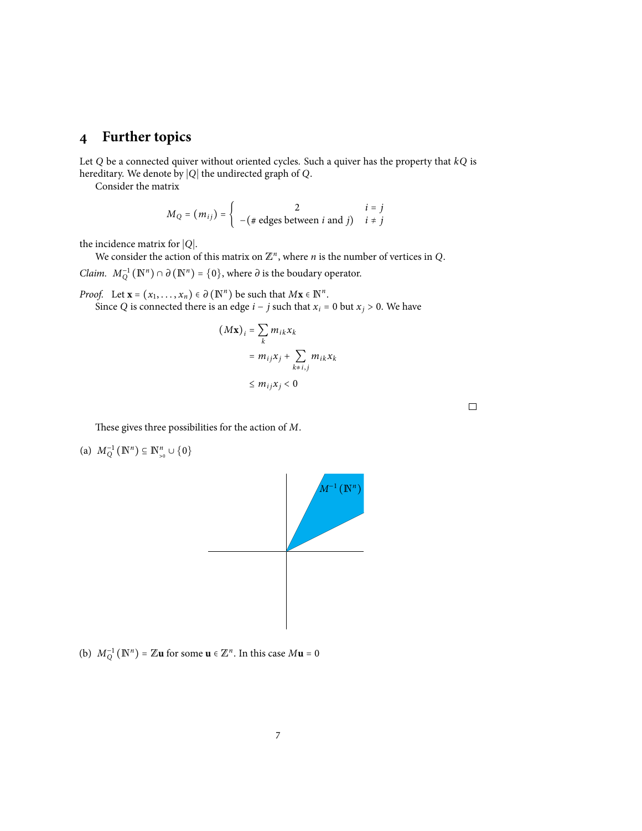## **4 Further topics**

Let *Q* be a connected quiver without oriented cycles. Such a quiver has the property that *kQ* is hereditary. We denote by <sup>∣</sup>*Q*<sup>∣</sup> the undirected graph of *<sup>Q</sup>*.

Consider the matrix

$$
M_Q = (m_{ij}) = \begin{cases} 2 & i = j \\ -(\# \text{ edges between } i \text{ and } j) & i \neq j \end{cases}
$$

the incidence matrix for <sup>∣</sup>*Q*∣.

We consider the action of this matrix on  $\mathbb{Z}^n$ , where *n* is the number of vertices in Q.

*Claim.*  $M_Q^{-1}(\mathbb{N}^n) \cap \partial(\mathbb{N}^n) = \{0\}$ , where  $\partial$  is the boudary operator.

*Proof.* Let  $\mathbf{x} = (x_1, \ldots, x_n) \in \partial (\mathbb{N}^n)$  be such that  $M\mathbf{x} \in \mathbb{N}^n$ . Since *Q* is connected there is an edge *i* − *j* such that  $x_i$  = 0 but  $x_j$  > 0. We have

$$
(M\mathbf{x})_i = \sum_k m_{ik} x_k
$$
  
=  $m_{ij} x_j + \sum_{k \neq i,j} m_{ik} x_k$   
 $\leq m_{ij} x_j < 0$ 

 $\Box$ 

These gives three possibilities for the action of *M*.

(a)  $M_Q^{-1}(\mathbb{N}^n) \subseteq \mathbb{N}^n_{>0} \cup \{0\}$ 



(b)  $M_Q^{-1}(N^n) = \mathbb{Z}$ **u** for some **u**  $\in \mathbb{Z}^n$ . In this case  $M$ **u** = 0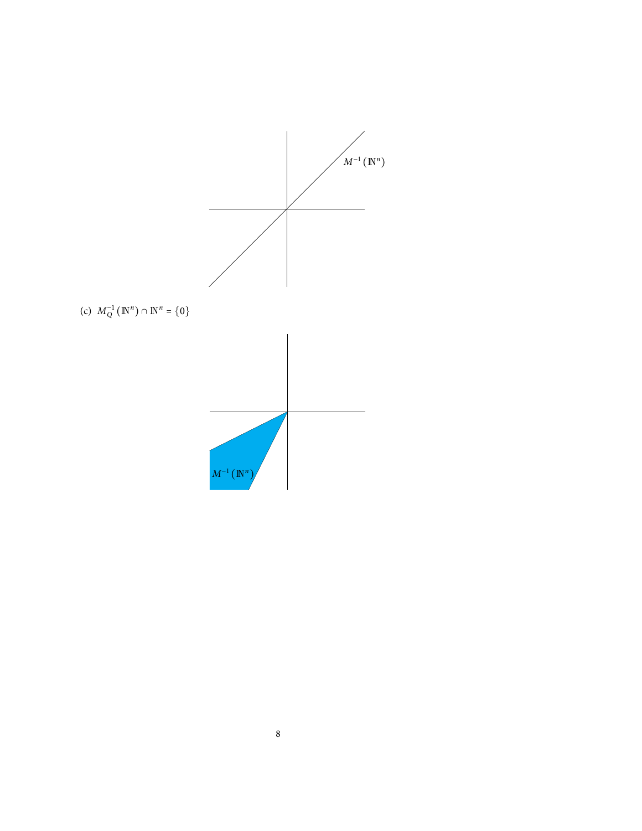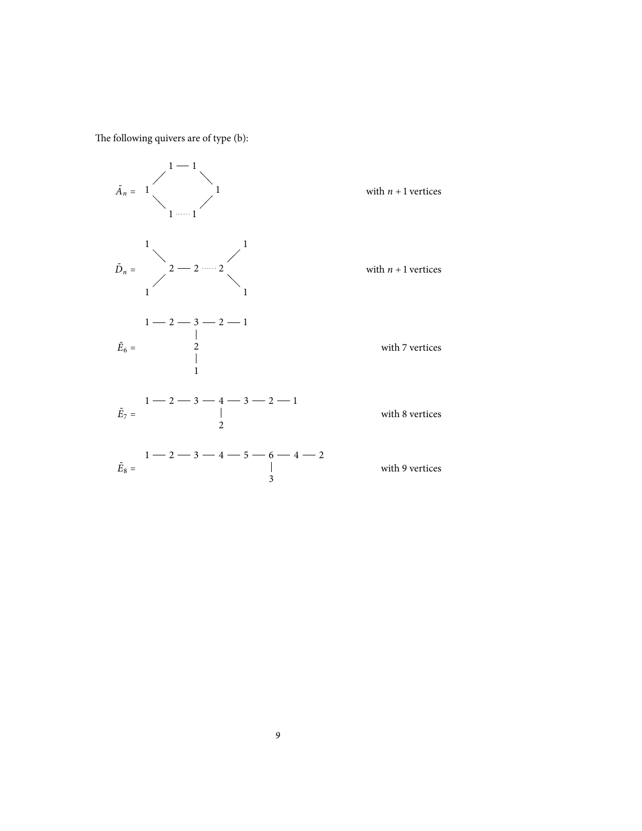The following quivers are of type (b):

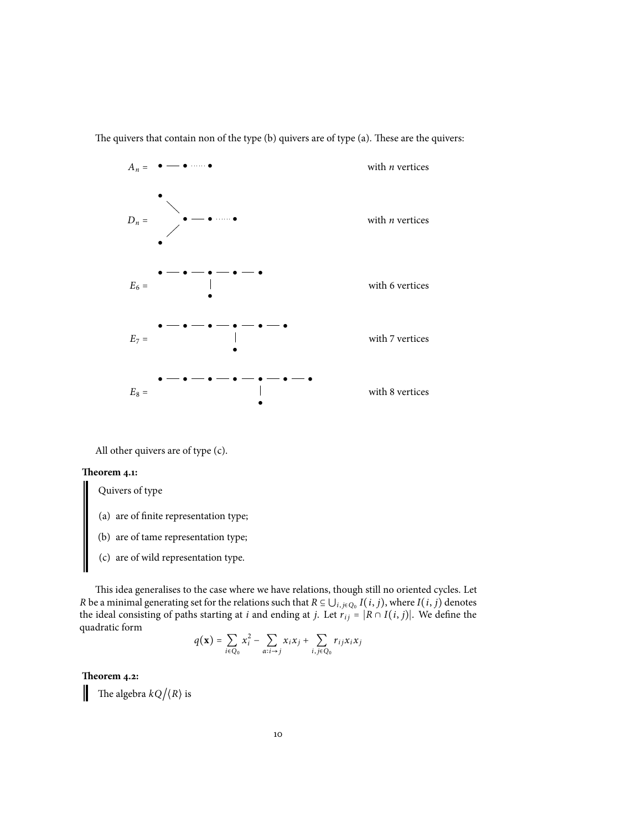The quivers that contain non of the type (b) quivers are of type (a). These are the quivers:



All other quivers are of type (c).

#### **Theorem 4.1:**

Quivers of type

- (a) are of finite representation type;
- (b) are of tame representation type;
- (c) are of wild representation type.

This idea generalises to the case where we have relations, though still no oriented cycles. Let *R* be a minimal generating set for the relations such that  $R \subseteq \bigcup_{i,j \in Q_0} I(i,j)$ , where  $I(i,j)$  denotes the ideal consisting of nathe stating at *i* and on ding at *i* L at  $n = |R \cap I(i,j)|$ . We define the the ideal consisting of paths starting at *i* and ending at *j*. Let  $r_{ij} = |R \cap I(i, j)|$ . We define the quadratic form

$$
q(\mathbf{x}) = \sum_{i \in Q_0} x_i^2 - \sum_{\alpha: i \to j} x_i x_j + \sum_{i,j \in Q_0} r_{ij} x_i x_j
$$

**Theorem 4.2:**

The algebra  $kQ/\langle R \rangle$  is